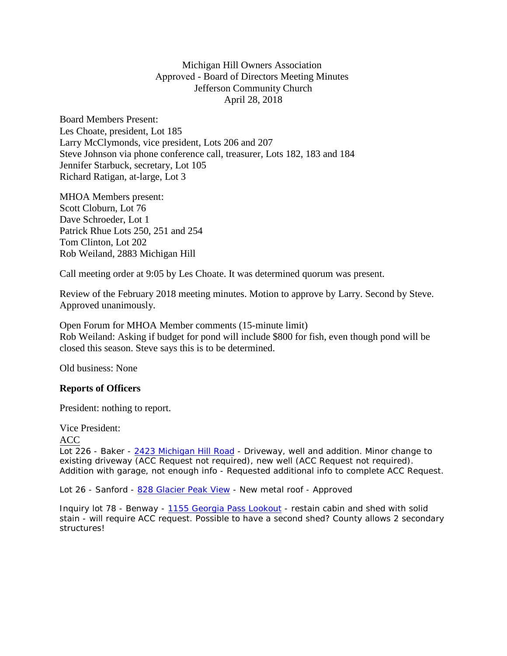Michigan Hill Owners Association Approved - Board of Directors Meeting Minutes Jefferson Community Church April 28, 2018

Board Members Present: Les Choate, president, Lot 185 Larry McClymonds, vice president, Lots 206 and 207 Steve Johnson via phone conference call, treasurer, Lots 182, 183 and 184 Jennifer Starbuck, secretary, Lot 105 Richard Ratigan, at-large, Lot 3

MHOA Members present: Scott Cloburn, Lot 76 Dave Schroeder, Lot 1 Patrick Rhue Lots 250, 251 and 254 Tom Clinton, Lot 202 Rob Weiland, 2883 Michigan Hill

Call meeting order at 9:05 by Les Choate. It was determined quorum was present.

Review of the February 2018 meeting minutes. Motion to approve by Larry. Second by Steve. Approved unanimously.

Open Forum for MHOA Member comments (15-minute limit) Rob Weiland: Asking if budget for pond will include \$800 for fish, even though pond will be closed this season. Steve says this is to be determined.

Old business: None

## **Reports of Officers**

President: nothing to report.

Vice President:

ACC

Lot 226 - Baker - [2423 Michigan Hill](https://maps.google.com/?q=2423+Michigan+Hill+Road&entry=gmail&source=g) Road - Driveway, well and addition. Minor change to existing driveway (ACC Request not required), new well (ACC Request not required). Addition with garage, not enough info - Requested additional info to complete ACC Request.

Lot 26 - Sanford - 828 [Glacier Peak](https://maps.google.com/?q=828+Glacier+Peak+View&entry=gmail&source=g) View - New metal roof - Approved

Inquiry lot 78 - Benway - [1155 Georgia](https://maps.google.com/?q=1155+Georgia+Pass+Lookout&entry=gmail&source=g) Pass Lookout - restain cabin and shed with solid stain - will require ACC request. Possible to have a second shed? County allows 2 secondary structures!